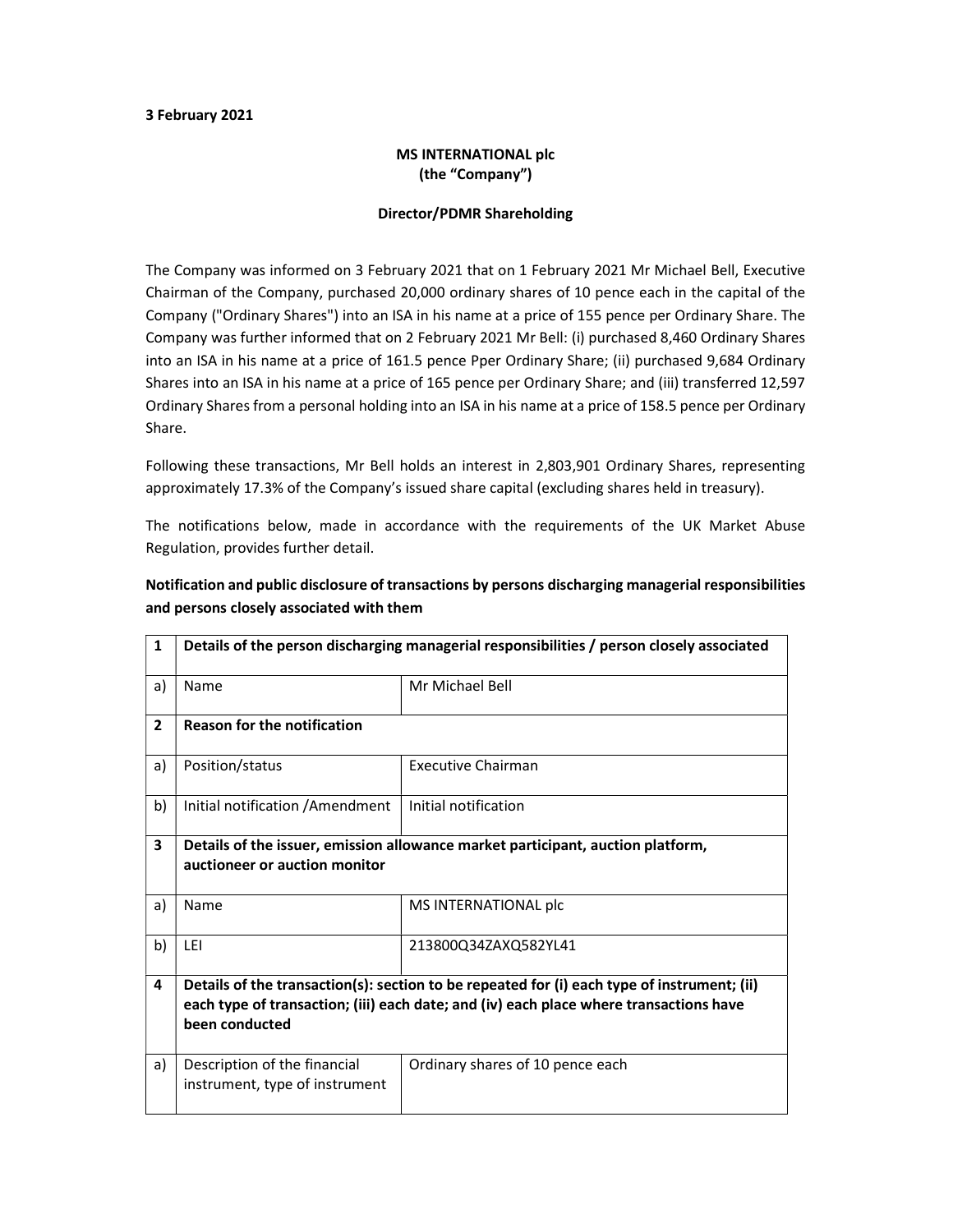#### 3 February 2021

### MS INTERNATIONAL plc (the "Company")

#### Director/PDMR Shareholding

The Company was informed on 3 February 2021 that on 1 February 2021 Mr Michael Bell, Executive Chairman of the Company, purchased 20,000 ordinary shares of 10 pence each in the capital of the Company ("Ordinary Shares") into an ISA in his name at a price of 155 pence per Ordinary Share. The Company was further informed that on 2 February 2021 Mr Bell: (i) purchased 8,460 Ordinary Shares into an ISA in his name at a price of 161.5 pence Pper Ordinary Share; (ii) purchased 9,684 Ordinary Shares into an ISA in his name at a price of 165 pence per Ordinary Share; and (iii) transferred 12,597 Ordinary Shares from a personal holding into an ISA in his name at a price of 158.5 pence per Ordinary Share.

Following these transactions, Mr Bell holds an interest in 2,803,901 Ordinary Shares, representing approximately 17.3% of the Company's issued share capital (excluding shares held in treasury).

The notifications below, made in accordance with the requirements of the UK Market Abuse Regulation, provides further detail.

| $\mathbf{1}$            | Details of the person discharging managerial responsibilities / person closely associated                                                                                                               |                                  |  |  |
|-------------------------|---------------------------------------------------------------------------------------------------------------------------------------------------------------------------------------------------------|----------------------------------|--|--|
| a)                      | Name                                                                                                                                                                                                    | Mr Michael Bell                  |  |  |
| $\overline{2}$          | <b>Reason for the notification</b>                                                                                                                                                                      |                                  |  |  |
| a)                      | Position/status                                                                                                                                                                                         | <b>Executive Chairman</b>        |  |  |
| b)                      | Initial notification / Amendment                                                                                                                                                                        | Initial notification             |  |  |
| $\overline{\mathbf{3}}$ | Details of the issuer, emission allowance market participant, auction platform,<br>auctioneer or auction monitor                                                                                        |                                  |  |  |
| a)                      | Name                                                                                                                                                                                                    | MS INTERNATIONAL plc             |  |  |
| b)                      | LEI                                                                                                                                                                                                     | 213800Q34ZAXQ582YL41             |  |  |
| 4                       | Details of the transaction(s): section to be repeated for (i) each type of instrument; (ii)<br>each type of transaction; (iii) each date; and (iv) each place where transactions have<br>been conducted |                                  |  |  |
| a)                      | Description of the financial<br>instrument, type of instrument                                                                                                                                          | Ordinary shares of 10 pence each |  |  |

## Notification and public disclosure of transactions by persons discharging managerial responsibilities and persons closely associated with them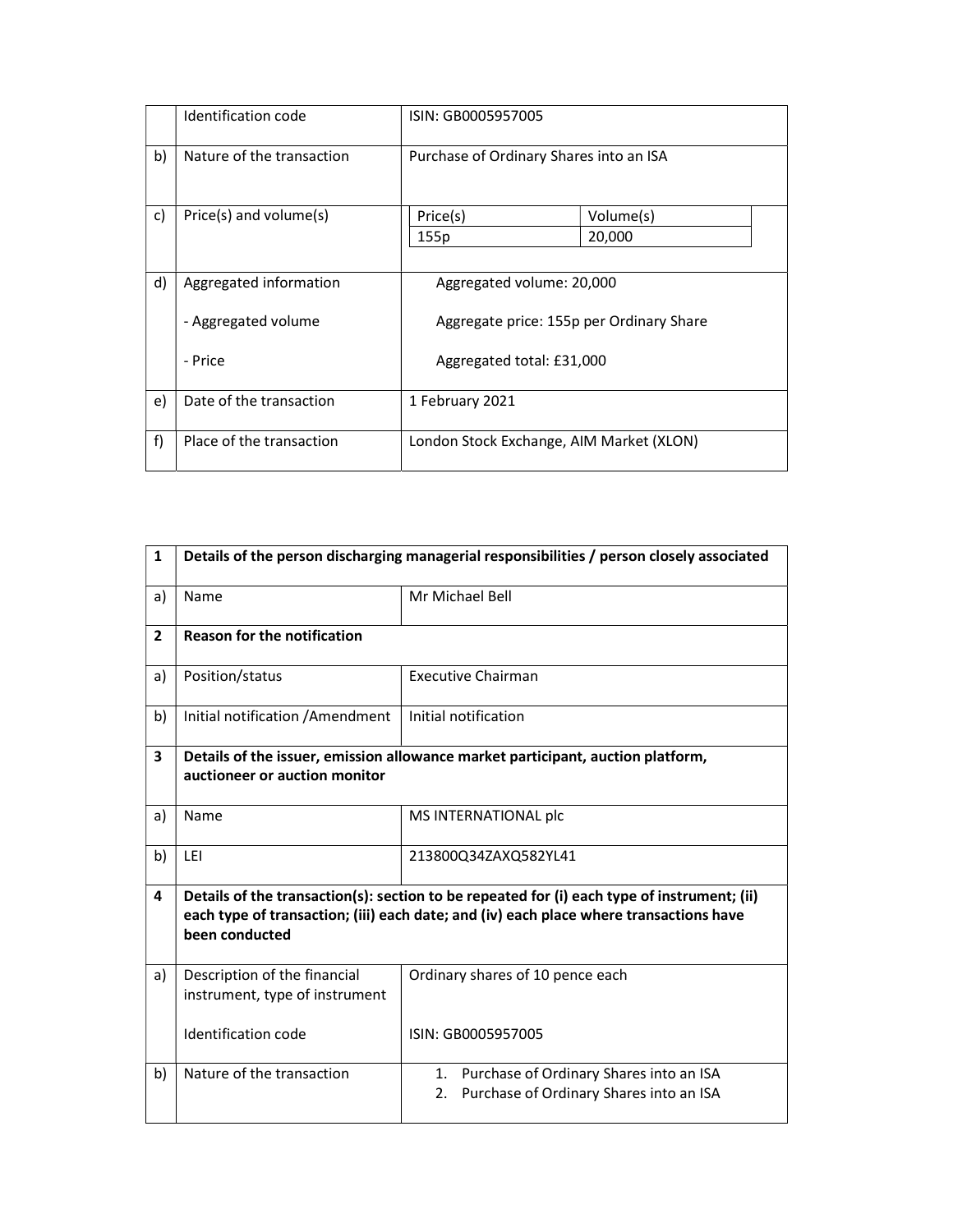|    | Identification code         | ISIN: GB0005957005                       |           |  |
|----|-----------------------------|------------------------------------------|-----------|--|
| b) | Nature of the transaction   | Purchase of Ordinary Shares into an ISA  |           |  |
| c) | $Price(s)$ and volume $(s)$ | Price(s)                                 | Volume(s) |  |
|    |                             | 155p                                     | 20,000    |  |
|    |                             |                                          |           |  |
| d) | Aggregated information      | Aggregated volume: 20,000                |           |  |
|    | - Aggregated volume         | Aggregate price: 155p per Ordinary Share |           |  |
|    | - Price                     | Aggregated total: £31,000                |           |  |
| e) | Date of the transaction     | 1 February 2021                          |           |  |
| f) | Place of the transaction    | London Stock Exchange, AIM Market (XLON) |           |  |

| $\mathbf{1}$   | Details of the person discharging managerial responsibilities / person closely associated                                                                                                               |                                                                                             |  |  |  |
|----------------|---------------------------------------------------------------------------------------------------------------------------------------------------------------------------------------------------------|---------------------------------------------------------------------------------------------|--|--|--|
| a)             | Name                                                                                                                                                                                                    | Mr Michael Bell                                                                             |  |  |  |
| $\overline{2}$ | <b>Reason for the notification</b>                                                                                                                                                                      |                                                                                             |  |  |  |
| a)             | Position/status                                                                                                                                                                                         | <b>Executive Chairman</b>                                                                   |  |  |  |
| b)             | Initial notification / Amendment                                                                                                                                                                        | Initial notification                                                                        |  |  |  |
| 3              | Details of the issuer, emission allowance market participant, auction platform,<br>auctioneer or auction monitor                                                                                        |                                                                                             |  |  |  |
| a)             | Name                                                                                                                                                                                                    | MS INTERNATIONAL plc                                                                        |  |  |  |
| b)             | LEI                                                                                                                                                                                                     | 213800Q34ZAXQ582YL41                                                                        |  |  |  |
| 4              | Details of the transaction(s): section to be repeated for (i) each type of instrument; (ii)<br>each type of transaction; (iii) each date; and (iv) each place where transactions have<br>been conducted |                                                                                             |  |  |  |
| a)             | Description of the financial<br>instrument, type of instrument                                                                                                                                          | Ordinary shares of 10 pence each                                                            |  |  |  |
|                | Identification code                                                                                                                                                                                     | ISIN: GB0005957005                                                                          |  |  |  |
| b)             | Nature of the transaction                                                                                                                                                                               | 1. Purchase of Ordinary Shares into an ISA<br>Purchase of Ordinary Shares into an ISA<br>2. |  |  |  |